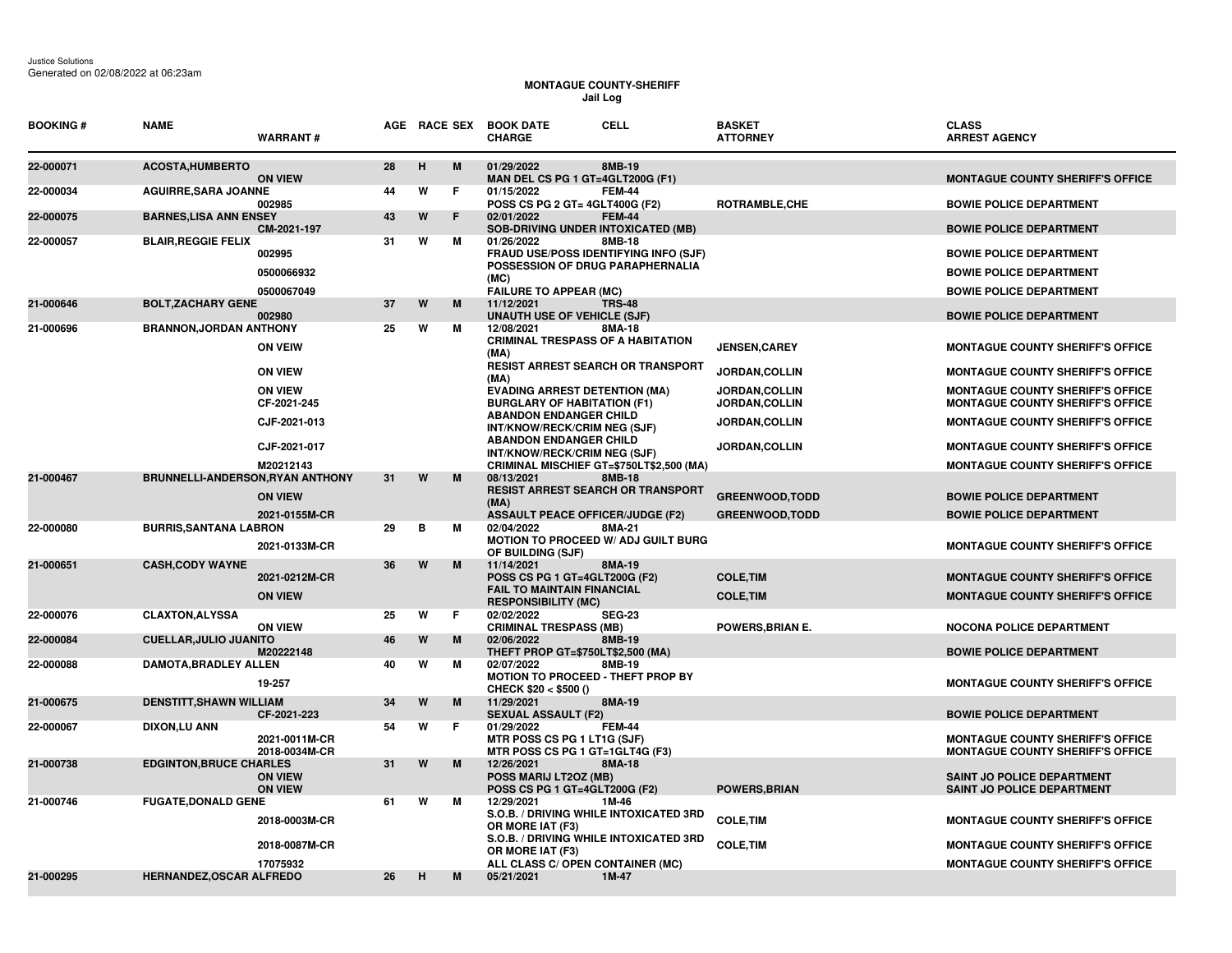Justice Solutions Generated on 02/08/2022 at 06:23am

## **MONTAGUE COUNTY-SHERIFF Jail Log**

| <b>BOOKING#</b> | <b>NAME</b>                             | <b>WARRANT#</b>                  |    |    |   | <b>CELL</b><br>AGE RACE SEX BOOK DATE<br><b>CHARGE</b>                                            | <b>BASKET</b><br><b>ATTORNEY</b>                 | <b>CLASS</b><br><b>ARREST AGENCY</b>                                               |
|-----------------|-----------------------------------------|----------------------------------|----|----|---|---------------------------------------------------------------------------------------------------|--------------------------------------------------|------------------------------------------------------------------------------------|
| 22-000071       | <b>ACOSTA, HUMBERTO</b>                 | <b>ON VIEW</b>                   | 28 | н  | M | 01/29/2022<br>8MB-19<br>MAN DEL CS PG 1 GT=4GLT200G (F1)                                          |                                                  | <b>MONTAGUE COUNTY SHERIFF'S OFFICE</b>                                            |
| 22-000034       | <b>AGUIRRE, SARA JOANNE</b>             | 002985                           | 44 | W  | E | 01/15/2022<br><b>FEM-44</b><br>POSS CS PG 2 GT= 4GLT400G (F2)                                     | ROTRAMBLE, CHE                                   | <b>BOWIE POLICE DEPARTMENT</b>                                                     |
| 22-000075       | <b>BARNES, LISA ANN ENSEY</b>           | CM-2021-197                      | 43 | W  | F | 02/01/2022<br><b>FEM-44</b><br><b>SOB-DRIVING UNDER INTOXICATED (MB)</b>                          |                                                  | <b>BOWIE POLICE DEPARTMENT</b>                                                     |
| 22-000057       | <b>BLAIR, REGGIE FELIX</b>              | 002995                           | 31 | W  | м | 01/26/2022<br>8MB-18<br>FRAUD USE/POSS IDENTIFYING INFO (SJF)<br>POSSESSION OF DRUG PARAPHERNALIA |                                                  | <b>BOWIE POLICE DEPARTMENT</b>                                                     |
|                 |                                         | 0500066932<br>0500067049         |    |    |   | (MC)<br><b>FAILURE TO APPEAR (MC)</b>                                                             |                                                  | <b>BOWIE POLICE DEPARTMENT</b><br><b>BOWIE POLICE DEPARTMENT</b>                   |
| 21-000646       | <b>BOLT, ZACHARY GENE</b>               | 002980                           | 37 | W  | M | 11/12/2021<br><b>TRS-48</b><br><b>UNAUTH USE OF VEHICLE (SJF)</b>                                 |                                                  | <b>BOWIE POLICE DEPARTMENT</b>                                                     |
| 21-000696       | <b>BRANNON, JORDAN ANTHONY</b>          |                                  | 25 | W  | м | 12/08/2021<br>8MA-18<br><b>CRIMINAL TRESPASS OF A HABITATION</b>                                  |                                                  |                                                                                    |
|                 |                                         | <b>ON VEIW</b>                   |    |    |   | (MA)<br><b>RESIST ARREST SEARCH OR TRANSPORT</b>                                                  | <b>JENSEN, CAREY</b>                             | <b>MONTAGUE COUNTY SHERIFF'S OFFICE</b>                                            |
|                 |                                         | <b>ON VIEW</b><br><b>ON VIEW</b> |    |    |   | (MA)<br><b>EVADING ARREST DETENTION (MA)</b>                                                      | JORDAN, COLLIN<br>JORDAN, COLLIN                 | <b>MONTAGUE COUNTY SHERIFF'S OFFICE</b><br><b>MONTAGUE COUNTY SHERIFF'S OFFICE</b> |
|                 |                                         | CF-2021-245                      |    |    |   | <b>BURGLARY OF HABITATION (F1)</b><br><b>ABANDON ENDANGER CHILD</b>                               | JORDAN, COLLIN                                   | <b>MONTAGUE COUNTY SHERIFF'S OFFICE</b>                                            |
|                 |                                         | CJF-2021-013                     |    |    |   | INT/KNOW/RECK/CRIM NEG (SJF)<br><b>ABANDON ENDANGER CHILD</b>                                     | JORDAN, COLLIN                                   | <b>MONTAGUE COUNTY SHERIFF'S OFFICE</b>                                            |
|                 |                                         | CJF-2021-017<br>M20212143        |    |    |   | INT/KNOW/RECK/CRIM NEG (SJF)<br>CRIMINAL MISCHIEF GT=\$750LT\$2,500 (MA)                          | <b>JORDAN, COLLIN</b>                            | <b>MONTAGUE COUNTY SHERIFF'S OFFICE</b><br><b>MONTAGUE COUNTY SHERIFF'S OFFICE</b> |
| 21-000467       | <b>BRUNNELLI-ANDERSON, RYAN ANTHONY</b> |                                  | 31 | W  | M | 08/13/2021<br><b>8MB-18</b><br>RESIST ARREST SEARCH OR TRANSPORT                                  |                                                  |                                                                                    |
|                 |                                         | <b>ON VIEW</b><br>2021-0155M-CR  |    |    |   | (MA)<br><b>ASSAULT PEACE OFFICER/JUDGE (F2)</b>                                                   | <b>GREENWOOD, TODD</b><br><b>GREENWOOD, TODD</b> | <b>BOWIE POLICE DEPARTMENT</b><br><b>BOWIE POLICE DEPARTMENT</b>                   |
| 22-000080       | <b>BURRIS, SANTANA LABRON</b>           | 2021-0133M-CR                    | 29 | в  | м | 02/04/2022<br>8MA-21<br><b>MOTION TO PROCEED W/ ADJ GUILT BURG</b><br>OF BUILDING (SJF)           |                                                  | <b>MONTAGUE COUNTY SHERIFF'S OFFICE</b>                                            |
| 21-000651       | <b>CASH, CODY WAYNE</b>                 | 2021-0212M-CR                    | 36 | W  | M | 11/14/2021<br>8MA-19<br>POSS CS PG 1 GT=4GLT200G (F2)                                             | <b>COLE, TIM</b>                                 | <b>MONTAGUE COUNTY SHERIFF'S OFFICE</b>                                            |
|                 |                                         | <b>ON VIEW</b>                   |    |    |   | <b>FAIL TO MAINTAIN FINANCIAL</b><br><b>RESPONSIBILITY (MC)</b>                                   | <b>COLE, TIM</b>                                 | <b>MONTAGUE COUNTY SHERIFF'S OFFICE</b>                                            |
| 22-000076       | <b>CLAXTON, ALYSSA</b>                  | <b>ON VIEW</b>                   | 25 | W  | F | 02/02/2022<br><b>SEG-23</b><br><b>CRIMINAL TRESPASS (MB)</b>                                      | POWERS, BRIAN E.                                 | <b>NOCONA POLICE DEPARTMENT</b>                                                    |
| 22-000084       | <b>CUELLAR, JULIO JUANITO</b>           | M20222148                        | 46 | W  | м | 02/06/2022<br>8MB-19<br>THEFT PROP GT=\$750LT\$2,500 (MA)                                         |                                                  | <b>BOWIE POLICE DEPARTMENT</b>                                                     |
| 22-000088       | <b>DAMOTA, BRADLEY ALLEN</b>            | 19-257                           | 40 | W  | м | 02/07/2022<br>8MB-19<br><b>MOTION TO PROCEED - THEFT PROP BY</b><br>CHECK \$20 < \$500 ()         |                                                  | <b>MONTAGUE COUNTY SHERIFF'S OFFICE</b>                                            |
| 21-000675       | <b>DENSTITT, SHAWN WILLIAM</b>          | CF-2021-223                      | 34 | W  | M | 11/29/2021<br>8MA-19<br><b>SEXUAL ASSAULT (F2)</b>                                                |                                                  | <b>BOWIE POLICE DEPARTMENT</b>                                                     |
| 22-000067       | DIXON,LU ANN                            | 2021-0011M-CR<br>2018-0034M-CR   | 54 | W  | F | 01/29/2022<br><b>FEM-44</b><br>MTR POSS CS PG 1 LT1G (SJF)<br>MTR POSS CS PG 1 GT=1GLT4G (F3)     |                                                  | <b>MONTAGUE COUNTY SHERIFF'S OFFICE</b><br><b>MONTAGUE COUNTY SHERIFF'S OFFICE</b> |
| 21-000738       | <b>EDGINTON, BRUCE CHARLES</b>          | <b>ON VIEW</b><br><b>ON VIEW</b> | 31 | W  | M | 12/26/2021<br>8MA-18<br>POSS MARIJ LT2OZ (MB)<br>POSS CS PG 1 GT=4GLT200G (F2)                    | <b>POWERS, BRIAN</b>                             | SAINT JO POLICE DEPARTMENT<br><b>SAINT JO POLICE DEPARTMENT</b>                    |
| 21-000746       | <b>FUGATE, DONALD GENE</b>              | 2018-0003M-CR                    | 61 | W  | М | 12/29/2021<br>1M-46<br>S.O.B. / DRIVING WHILE INTOXICATED 3RD<br>OR MORE IAT (F3)                 | <b>COLE, TIM</b>                                 | <b>MONTAGUE COUNTY SHERIFF'S OFFICE</b>                                            |
|                 |                                         | 2018-0087M-CR                    |    |    |   | S.O.B. / DRIVING WHILE INTOXICATED 3RD<br>OR MORE IAT (F3)                                        | <b>COLE, TIM</b>                                 | <b>MONTAGUE COUNTY SHERIFF'S OFFICE</b>                                            |
| 21-000295       | <b>HERNANDEZ, OSCAR ALFREDO</b>         | 17075932                         | 26 | H. | M | ALL CLASS C/ OPEN CONTAINER (MC)<br>05/21/2021<br>1M-47                                           |                                                  | <b>MONTAGUE COUNTY SHERIFF'S OFFICE</b>                                            |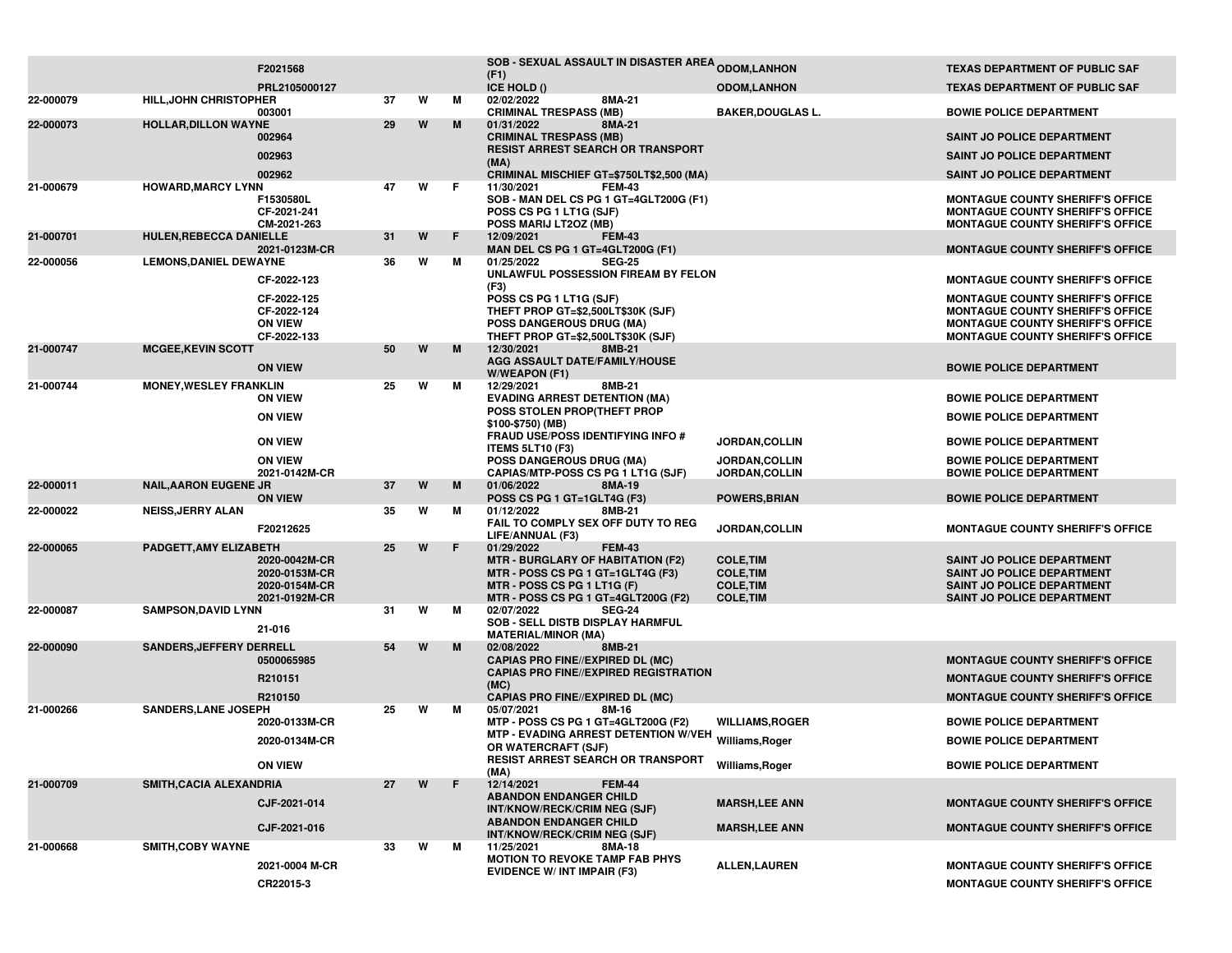|           |                                 | F2021568                                |    |   |    | SOB - SEXUAL ASSAULT IN DISASTER AREA ODOM,LANHON                                          |                                      | <b>TEXAS DEPARTMENT OF PUBLIC SAF</b>                                                                                         |
|-----------|---------------------------------|-----------------------------------------|----|---|----|--------------------------------------------------------------------------------------------|--------------------------------------|-------------------------------------------------------------------------------------------------------------------------------|
|           |                                 | PRL2105000127                           |    |   |    | (F1)<br><b>ICE HOLD ()</b>                                                                 | <b>ODOM.LANHON</b>                   | <b>TEXAS DEPARTMENT OF PUBLIC SAF</b>                                                                                         |
| 22-000079 | <b>HILL, JOHN CHRISTOPHER</b>   |                                         | 37 | W | М  | 02/02/2022<br>8MA-21                                                                       |                                      |                                                                                                                               |
| 22-000073 | <b>HOLLAR, DILLON WAYNE</b>     | 003001                                  | 29 | W | M  | <b>CRIMINAL TRESPASS (MB)</b><br>01/31/2022<br>8MA-21                                      | <b>BAKER, DOUGLAS L.</b>             | <b>BOWIE POLICE DEPARTMENT</b>                                                                                                |
|           |                                 | 002964                                  |    |   |    | <b>CRIMINAL TRESPASS (MB)</b>                                                              |                                      | SAINT JO POLICE DEPARTMENT                                                                                                    |
|           |                                 | 002963                                  |    |   |    | <b>RESIST ARREST SEARCH OR TRANSPORT</b><br>(MA)                                           |                                      | SAINT JO POLICE DEPARTMENT                                                                                                    |
|           |                                 | 002962                                  |    |   |    | CRIMINAL MISCHIEF GT=\$750LT\$2,500 (MA)                                                   |                                      | SAINT JO POLICE DEPARTMENT                                                                                                    |
| 21-000679 | <b>HOWARD, MARCY LYNN</b>       |                                         | 47 | W | F. | 11/30/2021<br><b>FEM-43</b>                                                                |                                      |                                                                                                                               |
|           |                                 | F1530580L<br>CF-2021-241<br>CM-2021-263 |    |   |    | SOB - MAN DEL CS PG 1 GT=4GLT200G (F1)<br>POSS CS PG 1 LT1G (SJF)<br>POSS MARIJ LT2OZ (MB) |                                      | <b>MONTAGUE COUNTY SHERIFF'S OFFICE</b><br><b>MONTAGUE COUNTY SHERIFF'S OFFICE</b><br><b>MONTAGUE COUNTY SHERIFF'S OFFICE</b> |
| 21-000701 | HULEN, REBECCA DANIELLE         |                                         | 31 | W | F  | 12/09/2021<br><b>FEM-43</b><br>MAN DEL CS PG 1 GT=4GLT200G (F1)                            |                                      |                                                                                                                               |
| 22-000056 | <b>LEMONS, DANIEL DEWAYNE</b>   | 2021-0123M-CR                           | 36 | W | м  | 01/25/2022<br><b>SEG-25</b>                                                                |                                      | <b>MONTAGUE COUNTY SHERIFF'S OFFICE</b>                                                                                       |
|           |                                 | CF-2022-123                             |    |   |    | UNLAWFUL POSSESSION FIREAM BY FELON                                                        |                                      | <b>MONTAGUE COUNTY SHERIFF'S OFFICE</b>                                                                                       |
|           |                                 | CF-2022-125                             |    |   |    | (F3)<br>POSS CS PG 1 LT1G (SJF)                                                            |                                      | <b>MONTAGUE COUNTY SHERIFF'S OFFICE</b>                                                                                       |
|           |                                 | CF-2022-124                             |    |   |    | THEFT PROP GT=\$2,500LT\$30K (SJF)                                                         |                                      | <b>MONTAGUE COUNTY SHERIFF'S OFFICE</b>                                                                                       |
|           |                                 | <b>ON VIEW</b>                          |    |   |    | <b>POSS DANGEROUS DRUG (MA)</b>                                                            |                                      | <b>MONTAGUE COUNTY SHERIFF'S OFFICE</b>                                                                                       |
| 21-000747 | <b>MCGEE, KEVIN SCOTT</b>       | CF-2022-133                             | 50 | W | M  | THEFT PROP GT=\$2,500LT\$30K (SJF)<br>12/30/2021<br>8MB-21                                 |                                      | <b>MONTAGUE COUNTY SHERIFF'S OFFICE</b>                                                                                       |
|           |                                 | <b>ON VIEW</b>                          |    |   |    | AGG ASSAULT DATE/FAMILY/HOUSE<br><b>W/WEAPON (F1)</b>                                      |                                      | <b>BOWIE POLICE DEPARTMENT</b>                                                                                                |
| 21-000744 | <b>MONEY, WESLEY FRANKLIN</b>   |                                         | 25 | W | М  | 12/29/2021<br>8MB-21                                                                       |                                      |                                                                                                                               |
|           |                                 | <b>ON VIEW</b>                          |    |   |    | <b>EVADING ARREST DETENTION (MA)</b><br>POSS STOLEN PROP(THEFT PROP                        |                                      | <b>BOWIE POLICE DEPARTMENT</b>                                                                                                |
|           |                                 | <b>ON VIEW</b>                          |    |   |    | \$100-\$750) (MB)                                                                          |                                      | <b>BOWIE POLICE DEPARTMENT</b>                                                                                                |
|           |                                 | <b>ON VIEW</b>                          |    |   |    | <b>FRAUD USE/POSS IDENTIFYING INFO #</b><br><b>ITEMS 5LT10 (F3)</b>                        | JORDAN, COLLIN                       | <b>BOWIE POLICE DEPARTMENT</b>                                                                                                |
|           |                                 | <b>ON VIEW</b>                          |    |   |    | POSS DANGEROUS DRUG (MA)                                                                   | <b>JORDAN.COLLIN</b>                 | <b>BOWIE POLICE DEPARTMENT</b>                                                                                                |
|           |                                 | 2021-0142M-CR                           |    |   |    | CAPIAS/MTP-POSS CS PG 1 LT1G (SJF)                                                         | JORDAN, COLLIN                       | <b>BOWIE POLICE DEPARTMENT</b>                                                                                                |
| 22-000011 | <b>NAIL, AARON EUGENE JR</b>    | <b>ON VIEW</b>                          | 37 | W | M  | 01/06/2022<br>8MA-19<br>POSS CS PG 1 GT=1GLT4G (F3)                                        | <b>POWERS, BRIAN</b>                 | <b>BOWIE POLICE DEPARTMENT</b>                                                                                                |
| 22-000022 | <b>NEISS, JERRY ALAN</b>        |                                         | 35 | W | м  | 01/12/2022<br>8MB-21                                                                       |                                      |                                                                                                                               |
|           |                                 | F20212625                               |    |   |    | FAIL TO COMPLY SEX OFF DUTY TO REG<br>LIFE/ANNUAL (F3)                                     | JORDAN, COLLIN                       | <b>MONTAGUE COUNTY SHERIFF'S OFFICE</b>                                                                                       |
| 22-000065 | PADGETT, AMY ELIZABETH          |                                         | 25 | W | F  | 01/29/2022<br><b>FEM-43</b>                                                                |                                      |                                                                                                                               |
|           |                                 | 2020-0042M-CR                           |    |   |    | <b>MTR - BURGLARY OF HABITATION (F2)</b>                                                   | <b>COLE, TIM</b>                     | <b>SAINT JO POLICE DEPARTMENT</b>                                                                                             |
|           |                                 | 2020-0153M-CR<br>2020-0154M-CR          |    |   |    | MTR - POSS CS PG 1 GT=1GLT4G (F3)<br>MTR - POSS CS PG 1 LT1G (F)                           | <b>COLE, TIM</b><br><b>COLE, TIM</b> | SAINT JO POLICE DEPARTMENT<br>SAINT JO POLICE DEPARTMENT                                                                      |
|           |                                 | 2021-0192M-CR                           |    |   |    | MTR - POSS CS PG 1 GT=4GLT200G (F2)                                                        | <b>COLE, TIM</b>                     | SAINT JO POLICE DEPARTMENT                                                                                                    |
| 22-000087 | <b>SAMPSON, DAVID LYNN</b>      |                                         | 31 | W | м  | 02/07/2022<br><b>SEG-24</b><br>SOB - SELL DISTB DISPLAY HARMFUL                            |                                      |                                                                                                                               |
|           |                                 | 21-016                                  |    |   |    | <b>MATERIAL/MINOR (MA)</b>                                                                 |                                      |                                                                                                                               |
| 22-000090 | <b>SANDERS, JEFFERY DERRELL</b> |                                         | 54 | W | M  | 02/08/2022<br>8MB-21                                                                       |                                      |                                                                                                                               |
|           |                                 | 0500065985                              |    |   |    | <b>CAPIAS PRO FINE//EXPIRED DL (MC)</b><br><b>CAPIAS PRO FINE//EXPIRED REGISTRATION</b>    |                                      | <b>MONTAGUE COUNTY SHERIFF'S OFFICE</b>                                                                                       |
|           |                                 | R210151                                 |    |   |    | (MC)                                                                                       |                                      | <b>MONTAGUE COUNTY SHERIFF'S OFFICE</b>                                                                                       |
|           |                                 | R210150                                 |    |   |    | <b>CAPIAS PRO FINE//EXPIRED DL (MC)</b>                                                    |                                      | <b>MONTAGUE COUNTY SHERIFF'S OFFICE</b>                                                                                       |
| 21-000266 | <b>SANDERS, LANE JOSEPH</b>     | 2020-0133M-CR                           | 25 | W | М  | 05/07/2021<br>8M-16<br>MTP - POSS CS PG 1 GT=4GLT200G (F2)                                 | <b>WILLIAMS, ROGER</b>               | <b>BOWIE POLICE DEPARTMENT</b>                                                                                                |
|           |                                 | 2020-0134M-CR                           |    |   |    | MTP - EVADING ARREST DETENTION W/VEH Williams, Roger                                       |                                      | <b>BOWIE POLICE DEPARTMENT</b>                                                                                                |
|           |                                 |                                         |    |   |    | OR WATERCRAFT (SJF)<br><b>RESIST ARREST SEARCH OR TRANSPORT</b>                            |                                      |                                                                                                                               |
|           |                                 | <b>ON VIEW</b>                          |    |   |    | (MA)                                                                                       | Williams, Roger                      | <b>BOWIE POLICE DEPARTMENT</b>                                                                                                |
| 21-000709 | SMITH, CACIA ALEXANDRIA         |                                         | 27 | W | F. | 12/14/2021<br><b>FEM-44</b>                                                                |                                      |                                                                                                                               |
|           |                                 | CJF-2021-014                            |    |   |    | <b>ABANDON ENDANGER CHILD</b><br>INT/KNOW/RECK/CRIM NEG (SJF)                              | <b>MARSH, LEE ANN</b>                | <b>MONTAGUE COUNTY SHERIFF'S OFFICE</b>                                                                                       |
|           |                                 | CJF-2021-016                            |    |   |    | <b>ABANDON ENDANGER CHILD</b>                                                              | <b>MARSH,LEE ANN</b>                 | <b>MONTAGUE COUNTY SHERIFF'S OFFICE</b>                                                                                       |
| 21-000668 | SMITH, COBY WAYNE               |                                         | 33 | W | м  | INT/KNOW/RECK/CRIM NEG (SJF)<br>11/25/2021<br>8MA-18                                       |                                      |                                                                                                                               |
|           |                                 |                                         |    |   |    | <b>MOTION TO REVOKE TAMP FAB PHYS</b>                                                      |                                      |                                                                                                                               |
|           |                                 | 2021-0004 M-CR                          |    |   |    | <b>EVIDENCE W/ INT IMPAIR (F3)</b>                                                         | ALLEN, LAUREN                        | <b>MONTAGUE COUNTY SHERIFF'S OFFICE</b>                                                                                       |
|           |                                 | CR22015-3                               |    |   |    |                                                                                            |                                      | <b>MONTAGUE COUNTY SHERIFF'S OFFICE</b>                                                                                       |